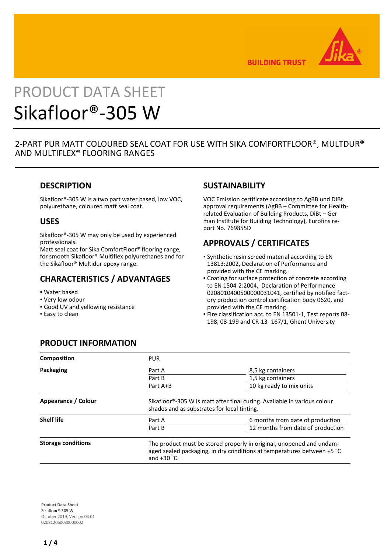

**BUILDING TRUST** 

# PRODUCT DATA SHEET Sikafloor®-305 W

2-PART PUR MATT COLOURED SEAL COAT FOR USE WITH SIKA COMFORTFLOOR®, MULTDUR® AND MULTIFLEX® FLOORING RANGES

## **DESCRIPTION**

Sikafloor®-305 W is a two part water based, low VOC, polyurethane, coloured matt seal coat.

## **USES**

Sikafloor®-305 W may only be used by experienced professionals.

Matt seal coat for Sika ComfortFloor® flooring range, for smooth Sikafloor® Multiflex polyurethanes and for the Sikafloor® Multidur epoxy range.

## **CHARACTERISTICS / ADVANTAGES**

- Water based
- Very low odour
- **Good UV and yellowing resistance**
- **Easy to clean**

## **SUSTAINABILITY**

VOC Emission certificate according to AgBB und DIBt approval requirements (AgBB – Committee for Healthrelated Evaluation of Building Products, DiBt – German Institute for Building Technology), Eurofins report No. 769855D

# **APPROVALS / CERTIFICATES**

- Synthetic resin screed material according to EN 13813:2002, Declaration of Performance and provided with the CE marking.
- Coating for surface protection of concrete according to EN 1504-2:2004, Declaration of Performance 0208010400500000031041, certified by notified factory production control certification body 0620, and provided with the CE marking.
- Fire classification acc. to EN 13501-1, Test reports 08- 198, 08-199 and CR-13- 167/1, Ghent University

# **PRODUCT INFORMATION**

| <b>Composition</b>        | <b>PUR</b>       |                                                                                                                                                |  |  |  |
|---------------------------|------------------|------------------------------------------------------------------------------------------------------------------------------------------------|--|--|--|
| Packaging                 | Part A<br>Part B | 8,5 kg containers<br>1,5 kg containers                                                                                                         |  |  |  |
|                           | Part A+B         | 10 kg ready to mix units                                                                                                                       |  |  |  |
| Appearance / Colour       |                  | Sikafloor®-305 W is matt after final curing. Available in various colour<br>shades and as substrates for local tinting.                        |  |  |  |
| <b>Shelf life</b>         | Part A<br>Part B | 6 months from date of production<br>12 months from date of production                                                                          |  |  |  |
| <b>Storage conditions</b> | and $+30$ °C.    | The product must be stored properly in original, unopened and undam-<br>aged sealed packaging, in dry conditions at temperatures between +5 °C |  |  |  |

**Product Data Sheet** Sikafloor®-305 W October 2019, Version 03.01 020812060030000002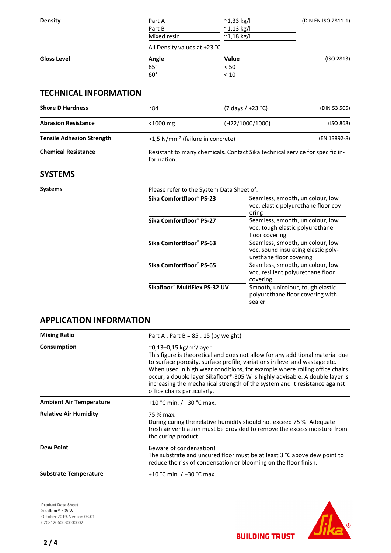| <b>Density</b>     | Part A       | $^{\sim}$ 1,33 kg/l          | (DIN EN ISO 2811-1) |
|--------------------|--------------|------------------------------|---------------------|
|                    | Part B       | $^{\sim}$ 1,13 kg/l          |                     |
|                    | Mixed resin  | $^{\sim}$ 1,18 kg/l          |                     |
|                    |              | All Density values at +23 °C |                     |
| <b>Gloss Level</b> | Angle        | Value                        | (ISO 2813)          |
|                    | $85^\circ$   | < 50                         |                     |
|                    | $60^{\circ}$ | < 10                         |                     |
|                    |              |                              |                     |

## **TECHNICAL INFORMATION**

| ∼84                                                                                        | $(7 \text{ days } / +23 \text{ °C})$ | (DIN 53 505) |  |
|--------------------------------------------------------------------------------------------|--------------------------------------|--------------|--|
| (H22/1000/1000)<br>$<$ 1000 mg                                                             |                                      | (ISO 868)    |  |
| >1,5 N/mm <sup>2</sup> (failure in concrete)                                               |                                      | (EN 13892-8) |  |
| Resistant to many chemicals. Contact Sika technical service for specific in-<br>formation. |                                      |              |  |
|                                                                                            |                                      |              |  |

## **SYSTEMS**

| Systems |                               | Please refer to the System Data Sheet of:                                                          |  |  |  |
|---------|-------------------------------|----------------------------------------------------------------------------------------------------|--|--|--|
|         | Sika Comfortfloor® PS-23      | Seamless, smooth, unicolour, low<br>voc, elastic polyurethane floor cov-<br>ering                  |  |  |  |
|         | Sika Comfortfloor® PS-27      | Seamless, smooth, unicolour, low<br>voc, tough elastic polyurethane<br>floor covering              |  |  |  |
|         | Sika Comfortfloor® PS-63      | Seamless, smooth, unicolour, low<br>voc, sound insulating elastic poly-<br>urethane floor covering |  |  |  |
|         | Sika Comfortfloor® PS-65      | Seamless, smooth, unicolour, low<br>voc, resilient polyurethane floor<br>covering                  |  |  |  |
|         | Sikafloor® MultiFlex PS-32 UV | Smooth, unicolour, tough elastic<br>polyurethane floor covering with<br>sealer                     |  |  |  |

## **APPLICATION INFORMATION**

| <b>Mixing Ratio</b>            | Part A : Part B = $85:15$ (by weight)<br>$^{\circ}$ 0,13–0,15 kg/m <sup>2</sup> /layer<br>This figure is theoretical and does not allow for any additional material due<br>to surface porosity, surface profile, variations in level and wastage etc.<br>When used in high wear conditions, for example where rolling office chairs<br>occur, a double layer Sikafloor®-305 W is highly advisable. A double layer is<br>increasing the mechanical strength of the system and it resistance against<br>office chairs particularly. |  |  |
|--------------------------------|-----------------------------------------------------------------------------------------------------------------------------------------------------------------------------------------------------------------------------------------------------------------------------------------------------------------------------------------------------------------------------------------------------------------------------------------------------------------------------------------------------------------------------------|--|--|
| Consumption                    |                                                                                                                                                                                                                                                                                                                                                                                                                                                                                                                                   |  |  |
| <b>Ambient Air Temperature</b> | +10 °C min. $/$ +30 °C max.                                                                                                                                                                                                                                                                                                                                                                                                                                                                                                       |  |  |
| <b>Relative Air Humidity</b>   | 75 % max.<br>During curing the relative humidity should not exceed 75 %. Adequate<br>fresh air ventilation must be provided to remove the excess moisture from<br>the curing product.                                                                                                                                                                                                                                                                                                                                             |  |  |
| <b>Dew Point</b>               | Beware of condensation!<br>The substrate and uncured floor must be at least $3 \text{ }^{\circ}$ C above dew point to<br>reduce the risk of condensation or blooming on the floor finish.                                                                                                                                                                                                                                                                                                                                         |  |  |
| <b>Substrate Temperature</b>   | +10 °C min. / +30 °C max.                                                                                                                                                                                                                                                                                                                                                                                                                                                                                                         |  |  |

**Product Data Sheet** Sikafloor®-305 W October 2019, Version 03.01 020812060030000002



**BUILDING TRUST**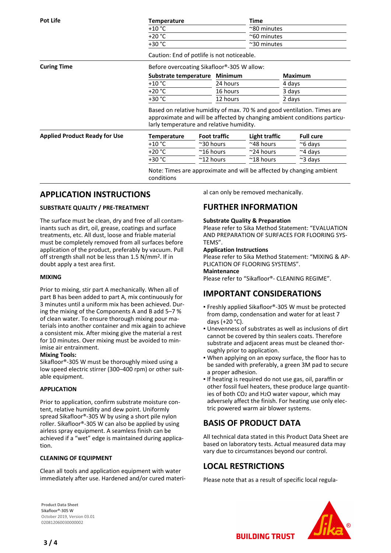| <b>Pot Life</b>                      | <b>Temperature</b>                                                                                                                                                                              |                     | Time                |                      |                |                  |  |
|--------------------------------------|-------------------------------------------------------------------------------------------------------------------------------------------------------------------------------------------------|---------------------|---------------------|----------------------|----------------|------------------|--|
|                                      | $+10 °C$                                                                                                                                                                                        |                     |                     |                      | ~80 minutes    |                  |  |
|                                      | $+20 °C$                                                                                                                                                                                        |                     |                     | $^{\sim}$ 60 minutes |                |                  |  |
|                                      | $+30 °C$                                                                                                                                                                                        |                     |                     | $^{\sim}$ 30 minutes |                |                  |  |
|                                      | Caution: End of potlife is not noticeable.                                                                                                                                                      |                     |                     |                      |                |                  |  |
| <b>Curing Time</b>                   | Before overcoating Sikafloor®-305 W allow:                                                                                                                                                      |                     |                     |                      |                |                  |  |
|                                      | Substrate temperature                                                                                                                                                                           |                     | <b>Minimum</b>      |                      | <b>Maximum</b> |                  |  |
|                                      | $+10 °C$                                                                                                                                                                                        |                     | 24 hours            |                      | 4 days         |                  |  |
|                                      | $+20 °C$                                                                                                                                                                                        |                     | 16 hours            |                      | 3 days         |                  |  |
|                                      | $+30 °C$                                                                                                                                                                                        |                     | 12 hours            |                      | 2 days         |                  |  |
|                                      | Based on relative humidity of max. 70 % and good ventilation. Times are<br>approximate and will be affected by changing ambient conditions particu-<br>larly temperature and relative humidity. |                     |                     |                      |                |                  |  |
| <b>Applied Product Ready for Use</b> | <b>Temperature</b>                                                                                                                                                                              |                     | <b>Foot traffic</b> | Light traffic        |                | <b>Full cure</b> |  |
|                                      | $+10 °C$                                                                                                                                                                                        | $\approx$ 30 hours  |                     | $~^\sim$ 48 hours    |                | $\approx$ 6 days |  |
|                                      | $+20 °C$                                                                                                                                                                                        | $~^{\sim}$ 16 hours |                     | $\approx$ 24 hours   |                | $~\sim$ 4 days   |  |
|                                      | $+30 °C$                                                                                                                                                                                        | $~^{\sim}$ 12 hours |                     | $~^{\sim}$ 18 hours  |                | $\approx$ 3 days |  |
|                                      | Note: Times are approximate and will be affected by changing ambient<br>conditions                                                                                                              |                     |                     |                      |                |                  |  |

## **APPLICATION INSTRUCTIONS**

#### **SUBSTRATE QUALITY / PRE-TREATMENT**

The surface must be clean, dry and free of all contaminants such as dirt, oil, grease, coatings and surface treatments, etc. All dust, loose and friable material must be completely removed from all surfaces before application of the product, preferably by vacuum. Pull off strength shall not be less than 1.5 N/mm2. If in doubt apply a test area first.

#### **MIXING**

Prior to mixing, stir part A mechanically. When all of part B has been added to part A, mix continuously for 3 minutes until a uniform mix has been achieved. During the mixing of the Components A and B add 5–7 % of clean water. To ensure thorough mixing pour materials into another container and mix again to achieve a consistent mix. After mixing give the material a rest for 10 minutes. Over mixing must be avoided to minimise air entrainment.

#### **Mixing Tools:**

Sikafloor®-305 W must be thoroughly mixed using a low speed electric stirrer (300–400 rpm) or other suitable equipment.

#### **APPLICATION**

Prior to application, confirm substrate moisture content, relative humidity and dew point. Uniformly spread Sikafloor®-305 W by using a short pile nylon roller. Sikafloor®-305 W can also be applied by using airless spray equipment. A seamless finish can be achieved if a "wet" edge is maintained during application.

#### **CLEANING OF EQUIPMENT**

Clean all tools and application equipment with water immediately after use. Hardened and/or cured material can only be removed mechanically.

## **FURTHER INFORMATION**

#### **Substrate Quality & Preparation**

Please refer to Sika Method Statement: "EVALUATION AND PREPARATION OF SURFACES FOR FLOORING SYS-TEMS".

#### **Application Instructions**

Please refer to Sika Method Statement: "MIXING & AP-PLICATION OF FLOORING SYSTEMS".

### **Maintenance**

Please refer to "Sikafloor®- CLEANING REGIME".

# **IMPORTANT CONSIDERATIONS**

- Freshly applied Sikafloor®-305 W must be protected from damp, condensation and water for at least 7 days (+20 °C).
- Unevenness of substrates as well as inclusions of dirt cannot be covered by thin sealers coats. Therefore substrate and adjacent areas must be cleaned thoroughly prior to application.
- . When applying on an epoxy surface, the floor has to be sanded with preferably, a green 3M pad to secure a proper adhesion.
- **.** If heating is required do not use gas, oil, paraffin or other fossil fuel heaters, these produce large quantities of both CO2 and H2O water vapour, which may adversely affect the finish. For heating use only electric powered warm air blower systems.

# **BASIS OF PRODUCT DATA**

All technical data stated in this Product Data Sheet are based on laboratory tests. Actual measured data may vary due to circumstances beyond our control.

## **LOCAL RESTRICTIONS**

Please note that as a result of specific local regula-

**BUILDING TRUST** 

**Product Data Sheet** Sikafloor®-305 W October 2019, Version 03.01 020812060030000002